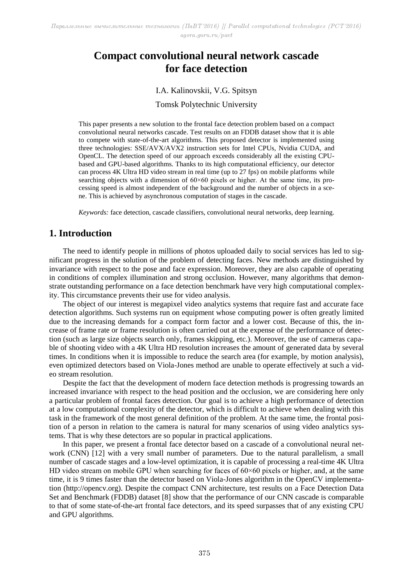# **Compact convolutional neural network cascade for face detection**

### I.A. Kalinovskii, V.G. Spitsyn

### Tomsk Polytechnic University

This paper presents a new solution to the frontal face detection problem based on a compact convolutional neural networks cascade. Test results on an FDDB dataset show that it is able to compete with state-of-the-art algorithms. This proposed detector is implemented using three technologies: SSE/AVX/AVX2 instruction sets for Intel CPUs, Nvidia CUDA, and OpenCL. The detection speed of our approach exceeds considerably all the existing CPUbased and GPU-based algorithms. Thanks to its high computational efficiency, our detector can process 4K Ultra HD video stream in real time (up to 27 fps) on mobile platforms while searching objects with a dimension of  $60 \times 60$  pixels or higher. At the same time, its processing speed is almost independent of the background and the number of objects in a scene. This is achieved by asynchronous computation of stages in the cascade.

*Keywords:* face detection, cascade classifiers, convolutional neural networks, deep learning.

# **1. Introduction**

The need to identify people in millions of photos uploaded daily to social services has led to significant progress in the solution of the problem of detecting faces. New methods are distinguished by invariance with respect to the pose and face expression. Moreover, they are also capable of operating in conditions of complex illumination and strong occlusion. However, many algorithms that demonstrate outstanding performance on a face detection benchmark have very high computational complexity. This circumstance prevents their use for video analysis.

The object of our interest is megapixel video analytics systems that require fast and accurate face detection algorithms. Such systems run on equipment whose computing power is often greatly limited due to the increasing demands for a compact form factor and a lower cost. Because of this, the increase of frame rate or frame resolution is often carried out at the expense of the performance of detection (such as large size objects search only, frames skipping, etc.). Moreover, the use of cameras capable of shooting video with a 4K Ultra HD resolution increases the amount of generated data by several times. In conditions when it is impossible to reduce the search area (for example, by motion analysis), even optimized detectors based on Viola-Jones method are unable to operate effectively at such a video stream resolution.

Despite the fact that the development of modern face detection methods is progressing towards an increased invariance with respect to the head position and the occlusion, we are considering here only a particular problem of frontal faces detection. Our goal is to achieve a high performance of detection at a low computational complexity of the detector, which is difficult to achieve when dealing with this task in the framework of the most general definition of the problem. At the same time, the frontal position of a person in relation to the camera is natural for many scenarios of using video analytics systems. That is why these detectors are so popular in practical applications.

In this paper, we present a frontal face detector based on a cascade of a convolutional neural network (CNN) [12] with a very small number of parameters. Due to the natural parallelism, a small number of cascade stages and a low-level optimization, it is capable of processing a real-time 4K Ultra HD video stream on mobile GPU when searching for faces of  $60\times60$  pixels or higher, and, at the same time, it is 9 times faster than the detector based on Viola-Jones algorithm in the OpenCV implementation (http://opencv.org). Despite the compact CNN architecture, test results on a Face Detection Data Set and Benchmark (FDDB) dataset [8] show that the performance of our CNN cascade is comparable to that of some state-of-the-art frontal face detectors, and its speed surpasses that of any existing CPU and GPU algorithms.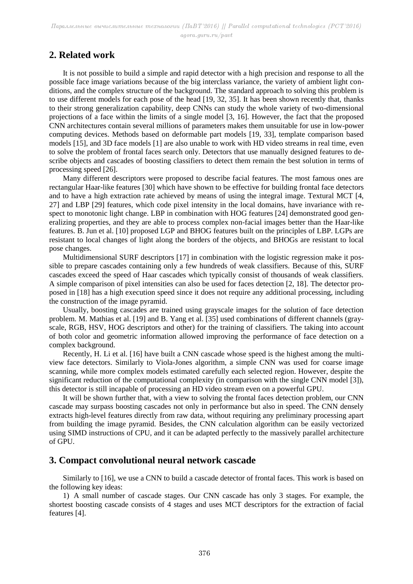# **2. Related work**

It is not possible to build a simple and rapid detector with a high precision and response to all the possible face image variations because of the big interclass variance, the variety of ambient light conditions, and the complex structure of the background. The standard approach to solving this problem is to use different models for each pose of the head [19, 32, 35]. It has been shown recently that, thanks to their strong generalization capability, deep CNNs can study the whole variety of two-dimensional projections of a face within the limits of a single model [3, 16]. However, the fact that the proposed CNN architectures contain several millions of parameters makes them unsuitable for use in low-power computing devices. Methods based on deformable part models [19, 33], template comparison based models [15], and 3D face models [1] are also unable to work with HD video streams in real time, even to solve the problem of frontal faces search only. Detectors that use manually designed features to describe objects and cascades of boosting classifiers to detect them remain the best solution in terms of processing speed [26].

Many different descriptors were proposed to describe facial features. The most famous ones are rectangular Haar-like features [30] which have shown to be effective for building frontal face detectors and to have a high extraction rate achieved by means of using the integral image. Textural MCT [4, 27] and LBP [29] features, which code pixel intensity in the local domains, have invariance with respect to monotonic light change. LBP in combination with HOG features [24] demonstrated good generalizing properties, and they are able to process complex non-facial images better than the Haar-like features. B. Jun et al. [10] proposed LGP and BHOG features built on the principles of LBP. LGPs are resistant to local changes of light along the borders of the objects, and BHOGs are resistant to local pose changes.

Multidimensional SURF descriptors [17] in combination with the logistic regression make it possible to prepare cascades containing only a few hundreds of weak classifiers. Because of this, SURF cascades exceed the speed of Haar cascades which typically consist of thousands of weak classifiers. A simple comparison of pixel intensities can also be used for faces detection [2, 18]. The detector proposed in [18] has a high execution speed since it does not require any additional processing, including the construction of the image pyramid.

Usually, boosting cascades are trained using grayscale images for the solution of face detection problem. M. Mathias et al. [19] and B. Yang et al. [35] used combinations of different channels (grayscale, RGB, HSV, HOG descriptors and other) for the training of classifiers. The taking into account of both color and geometric information allowed improving the performance of face detection on a complex background.

Recently, H. Li et al. [16] have built a CNN cascade whose speed is the highest among the multiview face detectors. Similarly to Viola-Jones algorithm, a simple CNN was used for coarse image scanning, while more complex models estimated carefully each selected region. However, despite the significant reduction of the computational complexity (in comparison with the single CNN model [3]), this detector is still incapable of processing an HD video stream even on a powerful GPU.

It will be shown further that, with a view to solving the frontal faces detection problem, our CNN cascade may surpass boosting cascades not only in performance but also in speed. The CNN densely extracts high-level features directly from raw data, without requiring any preliminary processing apart from building the image pyramid. Besides, the CNN calculation algorithm can be easily vectorized using SIMD instructions of CPU, and it can be adapted perfectly to the massively parallel architecture of GPU.

### **3. Compact convolutional neural network cascade**

Similarly to [16], we use a CNN to build a cascade detector of frontal faces. This work is based on the following key ideas:

1) A small number of cascade stages. Our CNN cascade has only 3 stages. For example, the shortest boosting cascade consists of 4 stages and uses MCT descriptors for the extraction of facial features [4].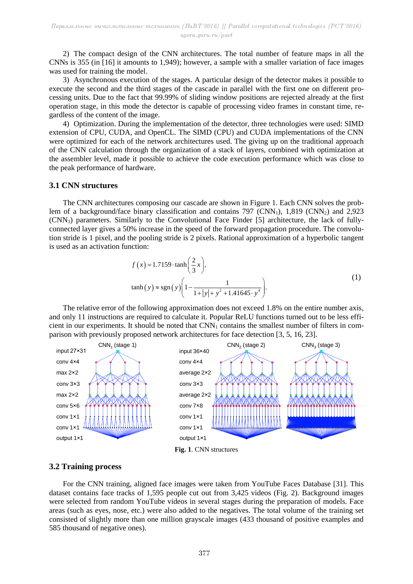2) The compact design of the CNN architectures. The total number of feature maps in all the CNNs is 355 (in [16] it amounts to 1,949); however, a sample with a smaller variation of face images was used for training the model.

3) Asynchronous execution of the stages. A particular design of the detector makes it possible to execute the second and the third stages of the cascade in parallel with the first one on different processing units. Due to the fact that 99.99% of sliding window positions are rejected already at the first operation stage, in this mode the detector is capable of processing video frames in constant time, regardless of the content of the image.

4) Optimization. During the implementation of the detector, three technologies were used: SIMD extension of CPU, CUDA, and OpenCL. The SIMD (CPU) and CUDA implementations of the CNN were optimized for each of the network architectures used. The giving up on the traditional approach of the CNN calculation through the organization of a stack of layers, combined with optimization at the assembler level, made it possible to achieve the code execution performance which was close to the peak performance of hardware.

#### **3.1 CNN structures**

The CNN architectures composing our cascade are shown in Figure 1. Each CNN solves the problem of a background/face binary classification and contains  $797$  (CNN<sub>1</sub>), 1,819 (CNN<sub>2</sub>) and 2,923 (CNN3) parameters. Similarly to the Convolutional Face Finder [5] architecture, the lack of fullyconnected layer gives a 50% increase in the speed of the forward propagation procedure. The convolution stride is 1 pixel, and the pooling stride is 2 pixels. Rational approximation of a hyperbolic tangent is used as an activation function:

$$
f(x) = 1.7159 \cdot \tanh\left(\frac{2}{3}x\right),
$$
  
\n
$$
\tanh(y) \approx \text{sgn}(y) \left(1 - \frac{1}{1 + |y| + y^2 + 1.41645 \cdot y^4}\right).
$$
 (1)

The relative error of the following approximation does not exceed 1.8% on the entire number axis, and only 11 instructions are required to calculate it. Popular ReLU functions turned out to be less efficient in our experiments. It should be noted that CNN<sub>1</sub> contains the smallest number of filters in comparison with previously proposed network architectures for face detection [3, 5, 16, 23].



### **3.2 Training process**

For the CNN training, aligned face images were taken from YouTube Faces Database [31]. This dataset contains face tracks of 1,595 people cut out from 3,425 videos (Fig. 2). Background images were selected from random YouTube videos in several stages during the preparation of models. Face areas (such as eyes, nose, etc.) were also added to the negatives. The total volume of the training set consisted of slightly more than one million grayscale images (433 thousand of positive examples and 585 thousand of negative ones).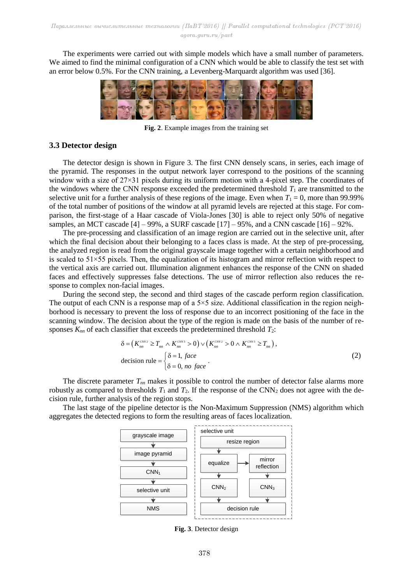The experiments were carried out with simple models which have a small number of parameters. We aimed to find the minimal configuration of a CNN which would be able to classify the test set with an error below 0.5%. For the CNN training, a Levenberg-Marquardt algorithm was used [36].



**Fig. 2**. Example images from the training set

#### **3.3 Detector design**

The detector design is shown in Figure 3. The first CNN densely scans, in series, each image of the pyramid. The responses in the output network layer correspond to the positions of the scanning window with a size of 27×31 pixels during its uniform motion with a 4-pixel step. The coordinates of the windows where the CNN response exceeded the predetermined threshold  $T_1$  are transmitted to the selective unit for a further analysis of these regions of the image. Even when  $T_1 = 0$ , more than 99.99% of the total number of positions of the window at all pyramid levels are rejected at this stage. For comparison, the first-stage of a Haar cascade of Viola-Jones [30] is able to reject only 50% of negative samples, an MCT cascade  $[4]$  – 99%, a SURF cascade  $[17]$  – 95%, and a CNN cascade  $[16]$  – 92%.

The pre-processing and classification of an image region are carried out in the selective unit, after which the final decision about their belonging to a faces class is made. At the step of pre-processing, the analyzed region is read from the original grayscale image together with a certain neighborhood and is scaled to  $51\times55$  pixels. Then, the equalization of its histogram and mirror reflection with respect to the vertical axis are carried out. Illumination alignment enhances the response of the CNN on shaded faces and effectively suppresses false detections. The use of mirror reflection also reduces the response to complex non-facial images.

During the second step, the second and third stages of the cascade perform region classification. The output of each CNN is a response map of a  $5\times 5$  size. Additional classification in the region neighborhood is necessary to prevent the loss of response due to an incorrect positioning of the face in the scanning window. The decision about the type of the region is made on the basis of the number of re-

$$
\text{sponeses } K_{nn} \text{ of each classifier that exceeds the predetermined threshold } T_2: \\
\delta = \left( K_{nn}^{c_{NN2}} \ge T_{nn} \wedge K_{nn}^{c_{NN3}} > 0 \right) \vee \left( K_{nn}^{c_{NN3}} \ge 0 \wedge K_{nn}^{c_{NN3}} \ge T_{nn} \right), \\
\text{decision rule} = \begin{cases} \delta = 1, \text{ face} \\ \delta = 0, \text{ no face} \end{cases} \tag{2}
$$

The discrete parameter *Tnn* makes it possible to control the number of detector false alarms more robustly as compared to thresholds  $T_1$  and  $T_2$ . If the response of the CNN<sub>2</sub> does not agree with the decision rule, further analysis of the region stops.

The last stage of the pipeline detector is the Non-Maximum Suppression (NMS) algorithm which aggregates the detected regions to form the resulting areas of faces localization.



**Fig. 3**. Detector design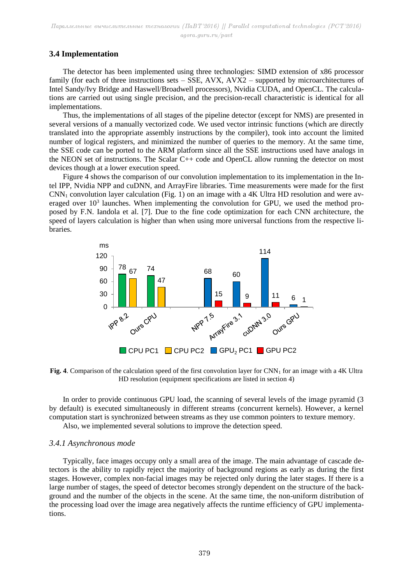### **3.4 Implementation**

The detector has been implemented using three technologies: SIMD extension of x86 processor family (for each of three instructions sets – SSE, AVX, AVX2 – supported by microarchitectures of Intel Sandy/Ivy Bridge and Haswell/Broadwell processors), Nvidia CUDA, and OpenCL. The calculations are carried out using single precision, and the precision-recall characteristic is identical for all implementations.

Thus, the implementations of all stages of the pipeline detector (except for NMS) are presented in several versions of a manually vectorized code. We used vector intrinsic functions (which are directly translated into the appropriate assembly instructions by the compiler), took into account the limited number of logical registers, and minimized the number of queries to the memory. At the same time, the SSE code can be ported to the ARM platform since all the SSE instructions used have analogs in the NEON set of instructions. The Scalar C++ code and OpenCL allow running the detector on most devices though at a lower execution speed.

Figure 4 shows the comparison of our convolution implementation to its implementation in the Intel IPP, Nvidia NPP and cuDNN, and ArrayFire libraries. Time measurements were made for the first  $CNN<sub>1</sub>$  convolution layer calculation (Fig. 1) on an image with a 4K Ultra HD resolution and were averaged over  $10<sup>3</sup>$  launches. When implementing the convolution for GPU, we used the method proposed by F.N. Iandola et al. [7]. Due to the fine code optimization for each CNN architecture, the speed of layers calculation is higher than when using more universal functions from the respective libraries.



**Fig. 4**. Comparison of the calculation speed of the first convolution layer for CNN<sub>1</sub> for an image with a 4K Ultra HD resolution (equipment specifications are listed in section 4)

In order to provide continuous GPU load, the scanning of several levels of the image pyramid (3 by default) is executed simultaneously in different streams (concurrent kernels). However, a kernel computation start is synchronized between streams as they use common pointers to texture memory.

Also, we implemented several solutions to improve the detection speed.

### *3.4.1 Asynchronous mode*

Typically, face images occupy only a small area of the image. The main advantage of cascade detectors is the ability to rapidly reject the majority of background regions as early as during the first stages. However, complex non-facial images may be rejected only during the later stages. If there is a large number of stages, the speed of detector becomes strongly dependent on the structure of the background and the number of the objects in the scene. At the same time, the non-uniform distribution of the processing load over the image area negatively affects the runtime efficiency of GPU implementations.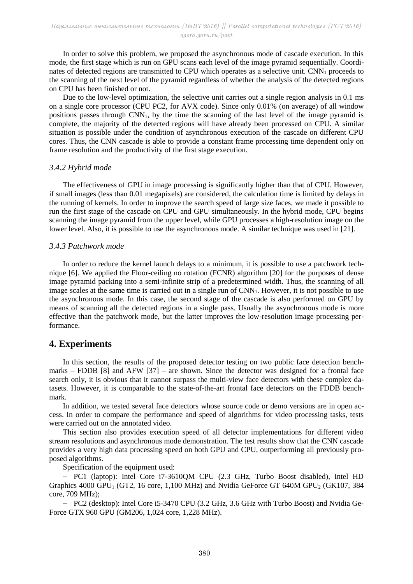In order to solve this problem, we proposed the asynchronous mode of cascade execution. In this mode, the first stage which is run on GPU scans each level of the image pyramid sequentially. Coordinates of detected regions are transmitted to CPU which operates as a selective unit. CNN<sub>1</sub> proceeds to the scanning of the next level of the pyramid regardless of whether the analysis of the detected regions on CPU has been finished or not.

Due to the low-level optimization, the selective unit carries out a single region analysis in 0.1 ms on a single core processor (CPU PC2, for AVX code). Since only 0.01% (on average) of all window positions passes through  $CNN<sub>1</sub>$ , by the time the scanning of the last level of the image pyramid is complete, the majority of the detected regions will have already been processed on CPU. A similar situation is possible under the condition of asynchronous execution of the cascade on different CPU cores. Thus, the CNN cascade is able to provide a constant frame processing time dependent only on frame resolution and the productivity of the first stage execution.

#### *3.4.2 Hybrid mode*

The effectiveness of GPU in image processing is significantly higher than that of CPU. However, if small images (less than 0.01 megapixels) are considered, the calculation time is limited by delays in the running of kernels. In order to improve the search speed of large size faces, we made it possible to run the first stage of the cascade on CPU and GPU simultaneously. In the hybrid mode, CPU begins scanning the image pyramid from the upper level, while GPU processes a high-resolution image on the lower level. Also, it is possible to use the asynchronous mode. A similar technique was used in [21].

#### *3.4.3 Patchwork mode*

In order to reduce the kernel launch delays to a minimum, it is possible to use a patchwork technique [6]. We applied the Floor-ceiling no rotation (FCNR) algorithm [20] for the purposes of dense image pyramid packing into a semi-infinite strip of a predetermined width. Thus, the scanning of all image scales at the same time is carried out in a single run of CNN<sub>1</sub>. However, it is not possible to use the asynchronous mode. In this case, the second stage of the cascade is also performed on GPU by means of scanning all the detected regions in a single pass. Usually the asynchronous mode is more effective than the patchwork mode, but the latter improves the low-resolution image processing performance.

# **4. Experiments**

In this section, the results of the proposed detector testing on two public face detection benchmarks – FDDB [8] and AFW [37] – are shown. Since the detector was designed for a frontal face search only, it is obvious that it cannot surpass the multi-view face detectors with these complex datasets. However, it is comparable to the state-of-the-art frontal face detectors on the FDDB benchmark.

In addition, we tested several face detectors whose source code or demo versions are in open access. In order to compare the performance and speed of algorithms for video processing tasks, tests were carried out on the annotated video.

This section also provides execution speed of all detector implementations for different video stream resolutions and asynchronous mode demonstration. The test results show that the CNN cascade provides a very high data processing speed on both GPU and CPU, outperforming all previously proposed algorithms.

Specification of the equipment used:

- PC1 (laptop): Intel Core i7-36100M CPU (2.3 GHz, Turbo Boost disabled), Intel HD Graphics  $4000$  GPU<sub>1</sub> (GT2, 16 core, 1,100 MHz) and Nvidia GeForce GT 640M GPU<sub>2</sub> (GK107, 384) core, 709 MHz);

- PC2 (desktop): Intel Core i5-3470 CPU (3.2 GHz, 3.6 GHz with Turbo Boost) and Nvidia Ge-Force GTX 960 GPU (GM206, 1,024 core, 1,228 MHz).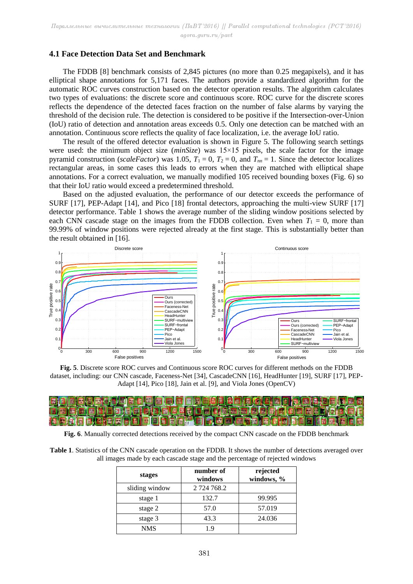#### **4.1 Face Detection Data Set and Benchmark**

The FDDB [8] benchmark consists of 2,845 pictures (no more than 0.25 megapixels), and it has elliptical shape annotations for 5,171 faces. The authors provide a standardized algorithm for the automatic ROC curves construction based on the detector operation results. The algorithm calculates two types of evaluations: the discrete score and continuous score. ROC curve for the discrete scores reflects the dependence of the detected faces fraction on the number of false alarms by varying the threshold of the decision rule. The detection is considered to be positive if the Intersection-over-Union (IoU) ratio of detection and annotation areas exceeds 0.5. Only one detection can be matched with an annotation. Continuous score reflects the quality of face localization, i.e. the average IoU ratio.

The result of the offered detector evaluation is shown in Figure 5. The following search settings were used: the minimum object size (*minSize*) was 15×15 pixels, the scale factor for the image pyramid construction (*scaleFactor*) was 1.05,  $T_1 = 0$ ,  $T_2 = 0$ , and  $T_{nn} = 1$ . Since the detector localizes rectangular areas, in some cases this leads to errors when they are matched with elliptical shape annotations. For a correct evaluation, we manually modified 105 received bounding boxes (Fig. 6) so that their IoU ratio would exceed a predetermined threshold.

Based on the adjusted evaluation, the performance of our detector exceeds the performance of SURF [17], PEP-Adapt [14], and Pico [18] frontal detectors, approaching the multi-view SURF [17] detector performance. Table 1 shows the average number of the sliding window positions selected by each CNN cascade stage on the images from the FDDB collection. Even when  $T_1 = 0$ , more than 99.99% of window positions were rejected already at the first stage. This is substantially better than the result obtained in [16].







**Fig. 6**. Manually corrected detections received by the compact CNN cascade on the FDDB benchmark

| Table 1. Statistics of the CNN cascade operation on the FDDB. It shows the number of detections averaged over |  |
|---------------------------------------------------------------------------------------------------------------|--|
| all images made by each cascade stage and the percentage of rejected windows                                  |  |

| stages         | number of<br>windows | rejected<br>windows, % |
|----------------|----------------------|------------------------|
| sliding window | 2 724 768.2          |                        |
| stage 1        | 132.7                | 99.995                 |
| stage 2        | 57.0                 | 57.019                 |
| stage 3        | 43.3                 | 24.036                 |
| NMS            | 19                   |                        |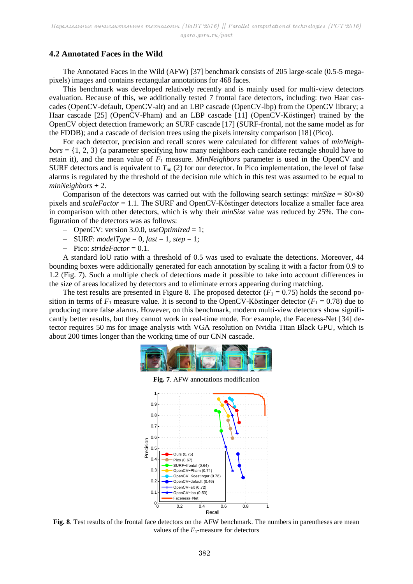### **4.2 Annotated Faces in the Wild**

The Annotated Faces in the Wild (AFW) [37] benchmark consists of 205 large-scale (0.5-5 megapixels) images and contains rectangular annotations for 468 faces.

This benchmark was developed relatively recently and is mainly used for multi-view detectors evaluation. Because of this, we additionally tested 7 frontal face detectors, including: two Haar cascades (OpenCV-default, OpenCV-alt) and an LBP cascade (OpenCV-lbp) from the OpenCV library; a Haar cascade [25] (OpenCV-Pham) and an LBP cascade [11] (OpenCV-Köstinger) trained by the OpenCV object detection framework; an SURF cascade [17] (SURF-frontal, not the same model as for the FDDB); and a cascade of decision trees using the pixels intensity comparison [18] (Pico).

For each detector, precision and recall scores were calculated for different values of *minNeigh* $bors = \{1, 2, 3\}$  (a parameter specifying how many neighbors each candidate rectangle should have to retain it), and the mean value of *F*<sup>1</sup> measure. *MinNeighbors* parameter is used in the OpenCV and SURF detectors and is equivalent to  $T_{nn}$  (2) for our detector. In Pico implementation, the level of false alarms is regulated by the threshold of the decision rule which in this test was assumed to be equal to *minNeighbors* + 2.

Comparison of the detectors was carried out with the following search settings:  $minSize = 80 \times 80$ pixels and *scaleFactor* = 1.1. The SURF and OpenCV-Köstinger detectors localize a smaller face area in comparison with other detectors, which is why their *minSize* value was reduced by 25%. The configuration of the detectors was as follows:

- OpenCV: version 3.0.0, *useOptimized* = 1;
- $-$  **SURF:** *modelType* = 0, *fast* = 1, *step* = 1;
- $-$  Pico: *strideFactor* = 0.1.

A standard IoU ratio with a threshold of 0.5 was used to evaluate the detections. Moreover, 44 bounding boxes were additionally generated for each annotation by scaling it with a factor from 0.9 to 1.2 (Fig. 7). Such a multiple check of detections made it possible to take into account differences in the size of areas localized by detectors and to eliminate errors appearing during matching.

The test results are presented in Figure 8. The proposed detector  $(F_1 = 0.75)$  holds the second position in terms of  $F_1$  measure value. It is second to the OpenCV-Köstinger detector ( $F_1 = 0.78$ ) due to producing more false alarms. However, on this benchmark, modern multi-view detectors show significantly better results, but they cannot work in real-time mode. For example, the Faceness-Net [34] detector requires 50 ms for image analysis with VGA resolution on Nvidia Titan Black GPU, which is about 200 times longer than the working time of our CNN cascade.



**Fig. 7**. AFW annotations modification



**Fig. 8.** Test results of the frontal face detectors on the AFW benchmark. The numbers in parentheses are mean values of the  $F_1$ -measure for detectors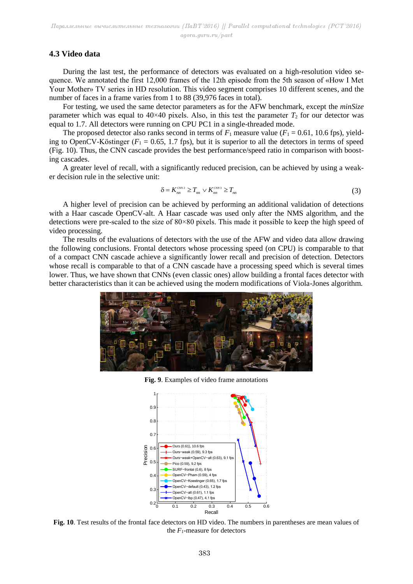#### **4.3 Video data**

During the last test, the performance of detectors was evaluated on a high-resolution video sequence. We annotated the first 12,000 frames of the 12th episode from the 5th season of «How I Met Your Mother» TV series in HD resolution. This video segment comprises 10 different scenes, and the number of faces in a frame varies from 1 to 88 (39,976 faces in total).

For testing, we used the same detector parameters as for the AFW benchmark, except the *minSize* parameter which was equal to  $40 \times 40$  pixels. Also, in this test the parameter  $T_2$  for our detector was equal to 1.7. All detectors were running on CPU PC1 in a single-threaded mode.

The proposed detector also ranks second in terms of  $F_1$  measure value ( $F_1 = 0.61$ , 10.6 fps), yielding to OpenCV-Köstinger  $(F_1 = 0.65, 1.7$  fps), but it is superior to all the detectors in terms of speed (Fig. 10). Thus, the CNN cascade provides the best performance/speed ratio in comparison with boosting cascades.

A greater level of recall, with a significantly reduced precision, can be achieved by using a weaker decision rule in the selective unit:

$$
\delta = K_{nn}^{c_{NN2}} \ge T_{nn} \vee K_{nn}^{c_{NN3}} \ge T_{nn}
$$
\n(3)

A higher level of precision can be achieved by performing an additional validation of detections with a Haar cascade OpenCV-alt. A Haar cascade was used only after the NMS algorithm, and the detections were pre-scaled to the size of  $80 \times 80$  pixels. This made it possible to keep the high speed of video processing.

The results of the evaluations of detectors with the use of the AFW and video data allow drawing the following conclusions. Frontal detectors whose processing speed (on CPU) is comparable to that of a compact CNN cascade achieve a significantly lower recall and precision of detection. Detectors whose recall is comparable to that of a CNN cascade have a processing speed which is several times lower. Thus, we have shown that CNNs (even classic ones) allow building a frontal faces detector with better characteristics than it can be achieved using the modern modifications of Viola-Jones algorithm.



**Fig. 9**. Examples of video frame annotations



**Fig. 10**. Test results of the frontal face detectors on HD video. The numbers in parentheses are mean values of the  $F_1$ -measure for detectors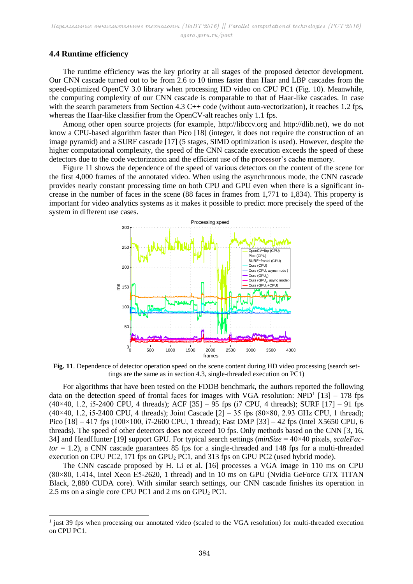### **4.4 Runtime efficiency**

1

The runtime efficiency was the key priority at all stages of the proposed detector development. Our CNN cascade turned out to be from 2.6 to 10 times faster than Haar and LBP cascades from the speed-optimized OpenCV 3.0 library when processing HD video on CPU PC1 (Fig. 10). Meanwhile, the computing complexity of our CNN cascade is comparable to that of Haar-like cascades. In case with the search parameters from Section 4.3 C++ code (without auto-vectorization), it reaches 1.2 fps, whereas the Haar-like classifier from the OpenCV-alt reaches only 1.1 fps.

Among other open source projects (for example, http://libccv.org and http://dlib.net), we do not know a CPU-based algorithm faster than Pico [18] (integer, it does not require the construction of an image pyramid) and a SURF cascade [17] (5 stages, SIMD optimization is used). However, despite the higher computational complexity, the speed of the CNN cascade execution exceeds the speed of these detectors due to the code vectorization and the efficient use of the processor's cache memory.

Figure 11 shows the dependence of the speed of various detectors on the content of the scene for the first 4,000 frames of the annotated video. When using the asynchronous mode, the CNN cascade provides nearly constant processing time on both CPU and GPU even when there is a significant increase in the number of faces in the scene (88 faces in frames from 1,771 to 1,834). This property is important for video analytics systems as it makes it possible to predict more precisely the speed of the system in different use cases.



**Fig. 11**. Dependence of detector operation speed on the scene content during HD video processing (search settings are the same as in section 4.3, single-threaded execution on PC1)

For algorithms that have been tested on the FDDB benchmark, the authors reported the following data on the detection speed of frontal faces for images with VGA resolution:  $NPD<sup>1</sup>$  [13] – 178 fps  $(40\times40, 1.2, i5-2400 \text{ CPU}, 4 \text{ threads});$  ACF  $[35] - 95$  fps  $(i7 \text{ CPU}, 4 \text{ threads});$  SURF  $[17] - 91$  fps (40×40, 1.2, i5-2400 CPU, 4 threads); Joint Cascade  $[2]$  – 35 fps (80×80, 2.93 GHz CPU, 1 thread); Pico  $[18] - 417$  fps  $(100 \times 100, i7 - 2600$  CPU, 1 thread); Fast DMP  $[33] - 42$  fps (Intel X5650 CPU, 6 threads). The speed of other detectors does not exceed 10 fps. Only methods based on the CNN [3, 16, 34] and HeadHunter [19] support GPU. For typical search settings (*minSize* = 40×40 pixels, *scaleFactor* = 1.2), a CNN cascade guarantees 85 fps for a single-threaded and 148 fps for a multi-threaded execution on CPU PC2, 171 fps on  $GPU<sub>2</sub> PC1$ , and 313 fps on  $GPU$  PC2 (used hybrid mode).

The CNN cascade proposed by H. Li et al. [16] processes a VGA image in 110 ms on CPU (80×80, 1.414, Intel Xeon E5-2620, 1 thread) and in 10 ms on GPU (Nvidia GeForce GTX TITAN Black, 2,880 CUDA core). With similar search settings, our CNN cascade finishes its operation in 2.5 ms on a single core CPU PC1 and 2 ms on  $GPU_2$  PC1.

<sup>&</sup>lt;sup>1</sup> just 39 fps when processing our annotated video (scaled to the VGA resolution) for multi-threaded execution on CPU PC1.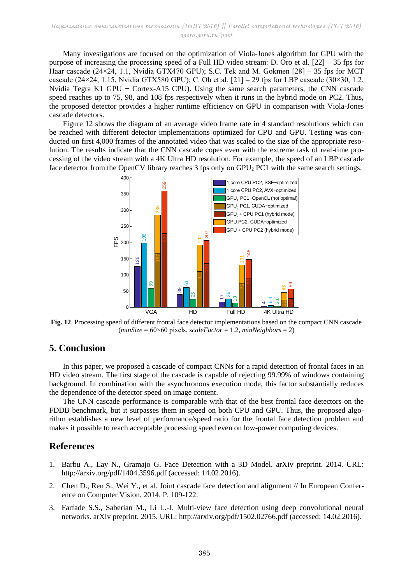Many investigations are focused on the optimization of Viola-Jones algorithm for GPU with the purpose of increasing the processing speed of a Full HD video stream: D. Oro et al. [22] – 35 fps for Haar cascade (24×24, 1.1, Nvidia GTX470 GPU); S.C. Tek and M. Gokmen [28] - 35 fps for MCT cascade (24×24, 1.15, Nvidia GTX580 GPU); C. Oh et al.  $[21]$  – 29 fps for LBP cascade (30×30, 1.2, Nvidia Tegra K1 GPU + Cortex-A15 CPU). Using the same search parameters, the CNN cascade speed reaches up to 75, 98, and 108 fps respectively when it runs in the hybrid mode on PC2. Thus, the proposed detector provides a higher runtime efficiency on GPU in comparison with Viola-Jones cascade detectors.

Figure 12 shows the diagram of an average video frame rate in 4 standard resolutions which can be reached with different detector implementations optimized for CPU and GPU. Testing was conducted on first 4,000 frames of the annotated video that was scaled to the size of the appropriate resolution. The results indicate that the CNN cascade copes even with the extreme task of real-time processing of the video stream with a 4K Ultra HD resolution. For example, the speed of an LBP cascade face detector from the OpenCV library reaches 3 fps only on GPU<sub>2</sub> PC1 with the same search settings.



**Fig. 12**. Processing speed of different frontal face detector implementations based on the compact CNN cascade (*minSize* = 60×60 pixels, *scaleFactor* = 1.2, *minNeighbors* = 2)

# **5. Conclusion**

In this paper, we proposed a cascade of compact CNNs for a rapid detection of frontal faces in an HD video stream. The first stage of the cascade is capable of rejecting 99.99% of windows containing background. In combination with the asynchronous execution mode, this factor substantially reduces the dependence of the detector speed on image content.

The CNN cascade performance is comparable with that of the best frontal face detectors on the FDDB benchmark, but it surpasses them in speed on both CPU and GPU. Thus, the proposed algorithm establishes a new level of performance/speed ratio for the frontal face detection problem and makes it possible to reach acceptable processing speed even on low-power computing devices.

# **References**

- 1. Barbu A., Lay N., Gramajo G. Face Detection with a 3D Model. arXiv preprint. 2014. URL: http://arxiv.org/pdf/1404.3596.pdf (accessed: 14.02.2016).
- 2. Chen D., Ren S., Wei Y., et al. Joint cascade face detection and alignment // In European Conference on Computer Vision. 2014. P. 109-122.
- 3. Farfade S.S., Saberian M., Li L.-J. Multi-view face detection using deep convolutional neural networks. arXiv preprint. 2015. URL: http://arxiv.org/pdf/1502.02766.pdf (accessed: 14.02.2016).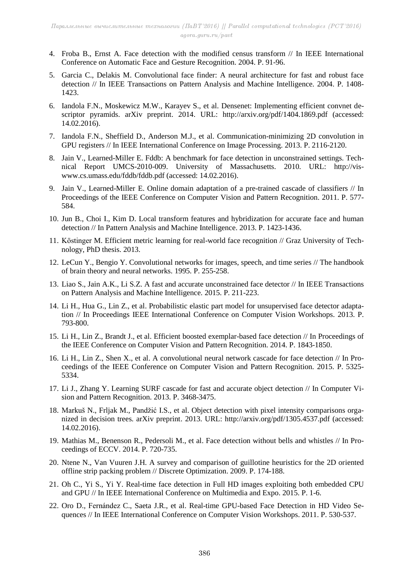- 4. Froba B., Ernst A. Face detection with the modified census transform // In IEEE International Conference on Automatic Face and Gesture Recognition. 2004. P. 91-96.
- 5. Garcia C., Delakis M. Convolutional face finder: A neural architecture for fast and robust face detection // In IEEE Transactions on Pattern Analysis and Machine Intelligence. 2004. P. 1408- 1423.
- 6. Iandola F.N., Moskewicz M.W., Karayev S., et al. Densenet: Implementing efficient convnet descriptor pyramids. arXiv preprint. 2014. URL: http://arxiv.org/pdf/1404.1869.pdf (accessed: 14.02.2016).
- 7. Iandola F.N., Sheffield D., Anderson M.J., et al. Communication-minimizing 2D convolution in GPU registers // In IEEE International Conference on Image Processing. 2013. P. 2116-2120.
- 8. Jain V., Learned-Miller E. Fddb: A benchmark for face detection in unconstrained settings. Technical Report UMCS-2010-009. University of Massachusetts. 2010. URL: http://viswww.cs.umass.edu/fddb/fddb.pdf (accessed: 14.02.2016).
- 9. Jain V., Learned-Miller E. Online domain adaptation of a pre-trained cascade of classifiers // In Proceedings of the IEEE Conference on Computer Vision and Pattern Recognition. 2011. P. 577- 584.
- 10. Jun B., Choi I., Kim D. Local transform features and hybridization for accurate face and human detection // In Pattern Analysis and Machine Intelligence. 2013. P. 1423-1436.
- 11. Köstinger M. Efficient metric learning for real-world face recognition // Graz University of Technology, PhD thesis. 2013.
- 12. LeCun Y., Bengio Y. Convolutional networks for images, speech, and time series // The handbook of brain theory and neural networks. 1995. P. 255-258.
- 13. Liao S., Jain A.K., Li S.Z. A fast and accurate unconstrained face detector // In IEEE Transactions on Pattern Analysis and Machine Intelligence. 2015. P. 211-223.
- 14. Li H., Hua G., Lin Z., et al. Probabilistic elastic part model for unsupervised face detector adaptation // In Proceedings IEEE International Conference on Computer Vision Workshops. 2013. P. 793-800.
- 15. Li H., Lin Z., Brandt J., et al. Efficient boosted exemplar-based face detection // In Proceedings of the IEEE Conference on Computer Vision and Pattern Recognition. 2014. P. 1843-1850.
- 16. Li H., Lin Z., Shen X., et al. A convolutional neural network cascade for face detection // In Proceedings of the IEEE Conference on Computer Vision and Pattern Recognition. 2015. P. 5325- 5334.
- 17. Li J., Zhang Y. Learning SURF cascade for fast and accurate object detection // In Computer Vision and Pattern Recognition. 2013. P. 3468-3475.
- 18. Markuš N., Frljak M., Pandžić I.S., et al. Object detection with pixel intensity comparisons organized in decision trees. arXiv preprint. 2013. URL: http://arxiv.org/pdf/1305.4537.pdf (accessed: 14.02.2016).
- 19. Mathias M., Benenson R., Pedersoli M., et al. Face detection without bells and whistles // In Proceedings of ECCV. 2014. P. 720-735.
- 20. Ntene N., Van Vuuren J.H. A survey and comparison of guillotine heuristics for the 2D oriented offline strip packing problem // Discrete Optimization. 2009. P. 174-188.
- 21. Oh C., Yi S., Yi Y. Real-time face detection in Full HD images exploiting both embedded CPU and GPU // In IEEE International Conference on Multimedia and Expo. 2015. P. 1-6.
- 22. Oro D., Fernández C., Saeta J.R., et al. Real-time GPU-based Face Detection in HD Video Sequences // In IEEE International Conference on Computer Vision Workshops. 2011. P. 530-537.